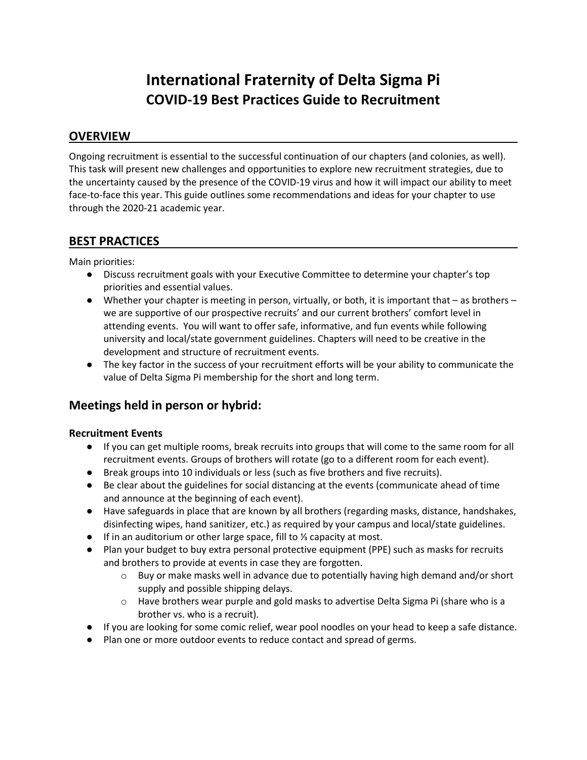# **International Fraternity of Delta Sigma Pi COVID-19 Best Practices Guide to Recruitment**

## **OVERVIEW**

Ongoing recruitment is essential to the successful continuation of our chapters (and colonies, as well). This task will present new challenges and opportunities to explore new recruitment strategies, due to the uncertainty caused by the presence of the COVID-19 virus and how it will impact our ability to meet face-to-face this year. This guide outlines some recommendations and ideas for your chapter to use through the 2020-21 academic year.

# **BEST PRACTICES**

Main priorities:

- Discuss recruitment goals with your Executive Committee to determine your chapter's top priorities and essential values.
- Whether your chapter is meeting in person, virtually, or both, it is important that as brothers we are supportive of our prospective recruits' and our current brothers' comfort level in attending events. You will want to offer safe, informative, and fun events while following university and local/state government guidelines. Chapters will need to be creative in the development and structure of recruitment events.
- The key factor in the success of your recruitment efforts will be your ability to communicate the value of Delta Sigma Pi membership for the short and long term.

# **Meetings held in person or hybrid:**

## **Recruitment Events**

- If you can get multiple rooms, break recruits into groups that will come to the same room for all recruitment events. Groups of brothers will rotate (go to a different room for each event).
- Break groups into 10 individuals or less (such as five brothers and five recruits).
- Be clear about the guidelines for social distancing at the events (communicate ahead of time and announce at the beginning of each event).
- Have safeguards in place that are known by all brothers (regarding masks, distance, handshakes, disinfecting wipes, hand sanitizer, etc.) as required by your campus and local/state guidelines.
- If in an auditorium or other large space, fill to ⅓ capacity at most.
- Plan your budget to buy extra personal protective equipment (PPE) such as masks for recruits and brothers to provide at events in case they are forgotten.
	- $\circ$  Buy or make masks well in advance due to potentially having high demand and/or short supply and possible shipping delays.
	- o Have brothers wear purple and gold masks to advertise Delta Sigma Pi (share who is a brother vs. who is a recruit).
- If you are looking for some comic relief, wear pool noodles on your head to keep a safe distance.
- Plan one or more outdoor events to reduce contact and spread of germs.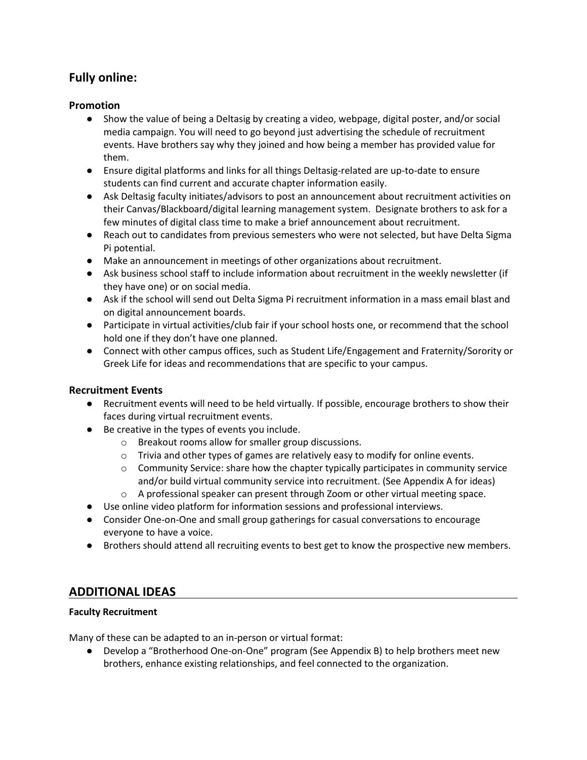# **Fully online:**

## **Promotion**

- Show the value of being a Deltasig by creating a video, webpage, digital poster, and/or social media campaign. You will need to go beyond just advertising the schedule of recruitment events. Have brothers say why they joined and how being a member has provided value for them.
- Ensure digital platforms and links for all things Deltasig-related are up-to-date to ensure students can find current and accurate chapter information easily.
- Ask Deltasig faculty initiates/advisors to post an announcement about recruitment activities on their Canvas/Blackboard/digital learning management system. Designate brothers to ask for a few minutes of digital class time to make a brief announcement about recruitment.
- Reach out to candidates from previous semesters who were not selected, but have Delta Sigma Pi potential.
- Make an announcement in meetings of other organizations about recruitment.
- Ask business school staff to include information about recruitment in the weekly newsletter (if they have one) or on social media.
- Ask if the school will send out Delta Sigma Pi recruitment information in a mass email blast and on digital announcement boards.
- Participate in virtual activities/club fair if your school hosts one, or recommend that the school hold one if they don't have one planned.
- Connect with other campus offices, such as Student Life/Engagement and Fraternity/Sorority or Greek Life for ideas and recommendations that are specific to your campus.

## **Recruitment Events**

- Recruitment events will need to be held virtually. If possible, encourage brothers to show their faces during virtual recruitment events.
- Be creative in the types of events you include.
	- o Breakout rooms allow for smaller group discussions.
	- $\circ$  Trivia and other types of games are relatively easy to modify for online events.
	- $\circ$  Community Service: share how the chapter typically participates in community service and/or build virtual community service into recruitment. (See Appendix A for ideas)
	- $\circ$  A professional speaker can present through Zoom or other virtual meeting space.
- Use online video platform for information sessions and professional interviews.
- Consider One-on-One and small group gatherings for casual conversations to encourage everyone to have a voice.
- Brothers should attend all recruiting events to best get to know the prospective new members.

## **ADDITIONAL IDEAS**

## **Faculty Recruitment**

Many of these can be adapted to an in-person or virtual format:

● Develop a "Brotherhood One-on-One" program (See Appendix B) to help brothers meet new brothers, enhance existing relationships, and feel connected to the organization.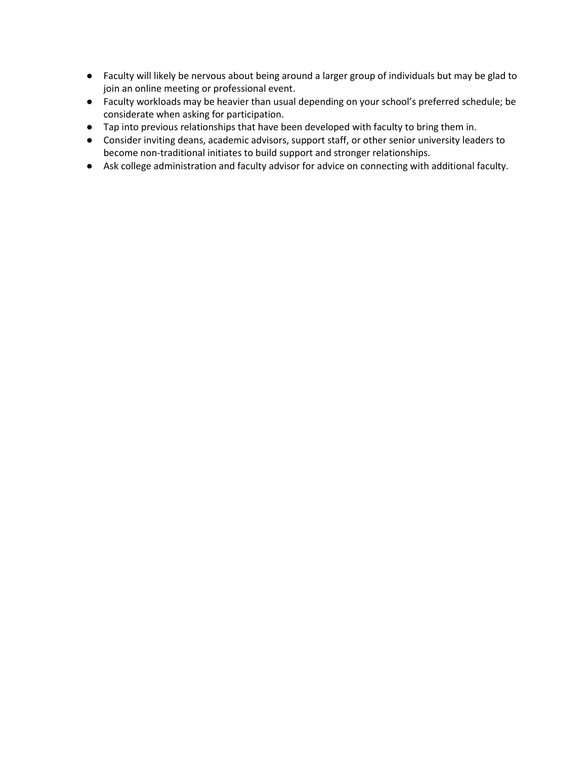- Faculty will likely be nervous about being around a larger group of individuals but may be glad to join an online meeting or professional event.
- Faculty workloads may be heavier than usual depending on your school's preferred schedule; be considerate when asking for participation.
- Tap into previous relationships that have been developed with faculty to bring them in.
- Consider inviting deans, academic advisors, support staff, or other senior university leaders to become non-traditional initiates to build support and stronger relationships.
- Ask college administration and faculty advisor for advice on connecting with additional faculty.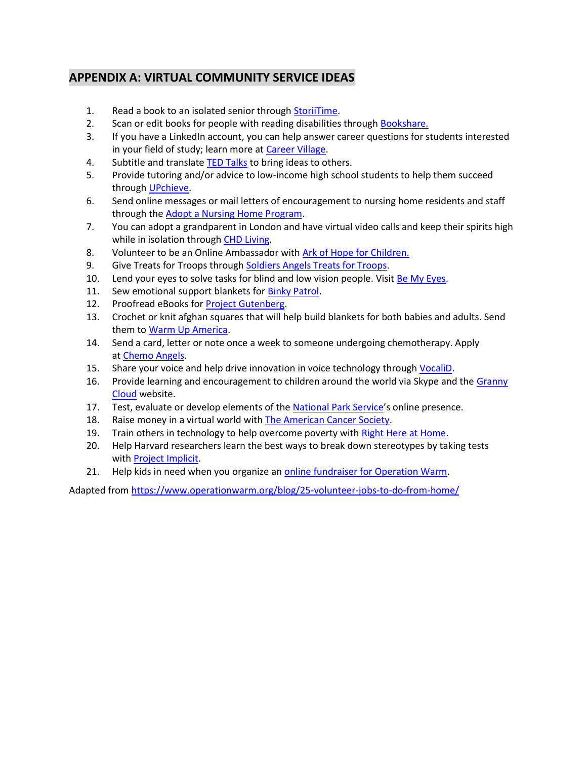# **APPENDIX A: VIRTUAL COMMUNITY SERVICE IDEAS**

- 1. Read a book to an isolated senior through [StoriiTime.](https://www.storiitime.com/)
- 2. Scan or edit books for people with reading disabilities through [Bookshare.](https://www.bookshare.org/cms/get-involved/volunteer)
- 3. If you have a LinkedIn account, you can help answer career questions for students interested in your field of study; learn more at [Career Village.](https://www.careervillage.org/about/mission/#become-a-mentor)
- 4. Subtitle and translate [TED Talks](https://www.ted.com/participate/translate) to bring ideas to others.
- 5. Provide tutoring and/or advice to low-income high school students to help them succeed through [UPchieve.](https://upchieve.org/volunteer)
- 6. Send online messages or mail letters of encouragement to nursing home residents and staff through the [Adopt a Nursing Home Program.](https://www.hireheroesusa.org/volunteer/)
- 7. You can adopt a grandparent in London and have virtual video calls and keep their spirits high while in isolation through [CHD Living.](https://chdliving.co.uk/)
- 8. Volunteer to be an Online Ambassador with [Ark of Hope for Children.](https://arkofhopeforchildren.org/)
- 9. Give Treats for Troops through [Soldiers Angels Treats for Troops.](https://soldiersangels.org/TreatsForTroops.html)
- 10. Lend your eyes to solve tasks for blind and low vision people. Visit [Be My Eyes.](https://www.bemyeyes.com/)
- 11. Sew emotional support blankets for [Binky Patrol.](https://binkypatrol.org/)
- 12. Proofread eBooks for [Project Gutenberg.](https://www.gutenberg.org/wiki/Gutenberg:Volunteering_for_Project_Gutenberg)
- 13. Crochet or knit afghan squares that will help build blankets for both babies and adults. Send them to [Warm Up America.](http://warmupamerica.org/current-needs)
- 14. Send a card, letter or note once a week to someone undergoing chemotherapy. Apply at [Chemo Angels.](http://chemoangels.wixsite.com/chemo-angels-1/angel-pre-app)
- 15. Share your voice and help drive innovation in voice technology through [VocaliD.](https://www.vocalid.co/voicebank)
- 16. Provide learning and encouragement to children around the world via Skype and the [Granny](http://thegrannycloud.org/)  [Cloud](http://thegrannycloud.org/) website.
- 17. Test, evaluate or develop elements of the [National Park Service](https://www.nps.gov/subjects/digital/getinvolved.htm)'s online presence.
- 18. Raise money in a virtual world with [The American Cancer Society.](https://www.cancer.org/involved/volunteer/society-second-life.html)
- 19. Train others in technology to help overcome poverty with [Right Here at Home.](http://rhah.org/)
- 20. Help Harvard researchers learn the best ways to break down stereotypes by taking tests with [Project Implicit.](https://implicit.harvard.edu/implicit/)
- 21. Help kids in need when you organize an [online fundraiser for Operation Warm.](https://www.operationwarm.org/start-a-fundraiser-2/)

Adapted from<https://www.operationwarm.org/blog/25-volunteer-jobs-to-do-from-home/>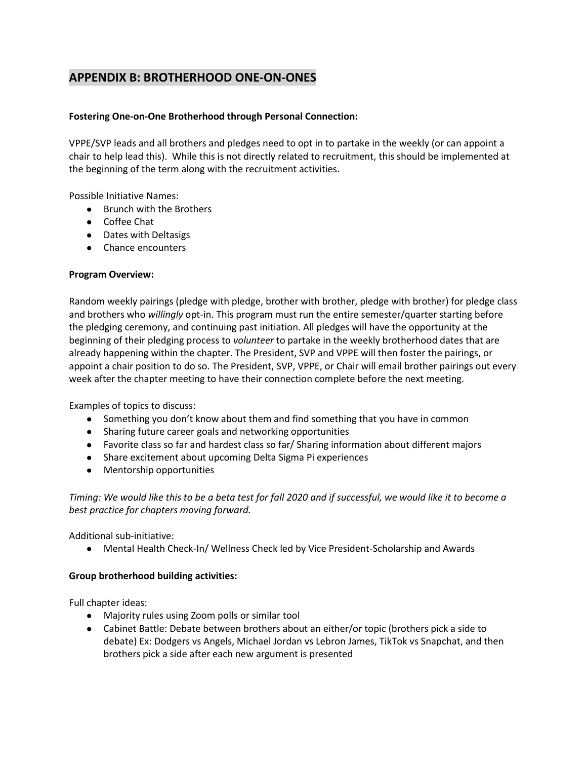## **APPENDIX B: BROTHERHOOD ONE-ON-ONES**

#### **Fostering One-on-One Brotherhood through Personal Connection:**

VPPE/SVP leads and all brothers and pledges need to opt in to partake in the weekly (or can appoint a chair to help lead this). While this is not directly related to recruitment, this should be implemented at the beginning of the term along with the recruitment activities.

Possible Initiative Names:

- Brunch with the Brothers
- Coffee Chat
- Dates with Deltasigs
- Chance encounters

#### **Program Overview:**

Random weekly pairings (pledge with pledge, brother with brother, pledge with brother) for pledge class and brothers who *willingly* opt-in. This program must run the entire semester/quarter starting before the pledging ceremony, and continuing past initiation. All pledges will have the opportunity at the beginning of their pledging process to *volunteer* to partake in the weekly brotherhood dates that are already happening within the chapter. The President, SVP and VPPE will then foster the pairings, or appoint a chair position to do so. The President, SVP, VPPE, or Chair will email brother pairings out every week after the chapter meeting to have their connection complete before the next meeting.

Examples of topics to discuss:

- Something you don't know about them and find something that you have in common
- Sharing future career goals and networking opportunities
- Favorite class so far and hardest class so far/ Sharing information about different majors
- Share excitement about upcoming Delta Sigma Pi experiences
- Mentorship opportunities

*Timing: We would like this to be a beta test for fall 2020 and if successful, we would like it to become a best practice for chapters moving forward.* 

Additional sub-initiative:

● Mental Health Check-In/ Wellness Check led by Vice President-Scholarship and Awards

#### **Group brotherhood building activities:**

Full chapter ideas:

- Majority rules using Zoom polls or similar tool
- Cabinet Battle: Debate between brothers about an either/or topic (brothers pick a side to debate) Ex: Dodgers vs Angels, Michael Jordan vs Lebron James, TikTok vs Snapchat, and then brothers pick a side after each new argument is presented